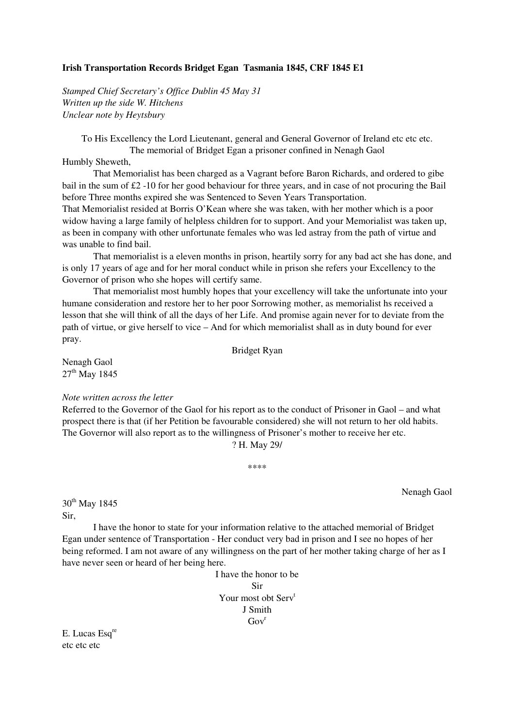## **Irish Transportation Records Bridget Egan Tasmania 1845, CRF 1845 E1**

*Stamped Chief Secretary's Office Dublin 45 May 31 Written up the side W. Hitchens Unclear note by Heytsbury* 

To His Excellency the Lord Lieutenant, general and General Governor of Ireland etc etc etc. The memorial of Bridget Egan a prisoner confined in Nenagh Gaol

Humbly Sheweth,

 That Memorialist has been charged as a Vagrant before Baron Richards, and ordered to gibe bail in the sum of £2 -10 for her good behaviour for three years, and in case of not procuring the Bail before Three months expired she was Sentenced to Seven Years Transportation.

That Memorialist resided at Borris O'Kean where she was taken, with her mother which is a poor widow having a large family of helpless children for to support. And your Memorialist was taken up, as been in company with other unfortunate females who was led astray from the path of virtue and was unable to find bail.

That memorialist is a eleven months in prison, heartily sorry for any bad act she has done, and is only 17 years of age and for her moral conduct while in prison she refers your Excellency to the Governor of prison who she hopes will certify same.

 That memorialist most humbly hopes that your excellency will take the unfortunate into your humane consideration and restore her to her poor Sorrowing mother, as memorialist hs received a lesson that she will think of all the days of her Life. And promise again never for to deviate from the path of virtue, or give herself to vice – And for which memorialist shall as in duty bound for ever pray.

Bridget Ryan

Nenagh Gaol  $27<sup>th</sup>$  May 1845

## *Note written across the letter*

Referred to the Governor of the Gaol for his report as to the conduct of Prisoner in Gaol – and what prospect there is that (if her Petition be favourable considered) she will not return to her old habits. The Governor will also report as to the willingness of Prisoner's mother to receive her etc.

? H. May 29/

\*\*\*\*

Nenagh Gaol

30<sup>th</sup> May 1845 Sir,

 I have the honor to state for your information relative to the attached memorial of Bridget Egan under sentence of Transportation - Her conduct very bad in prison and I see no hopes of her being reformed. I am not aware of any willingness on the part of her mother taking charge of her as I have never seen or heard of her being here.

> I have the honor to be Sir Your most obt Serv<sup>t</sup> J Smith  $Gov<sup>r</sup>$

E. Lucas Esq<sup>re</sup> etc etc etc